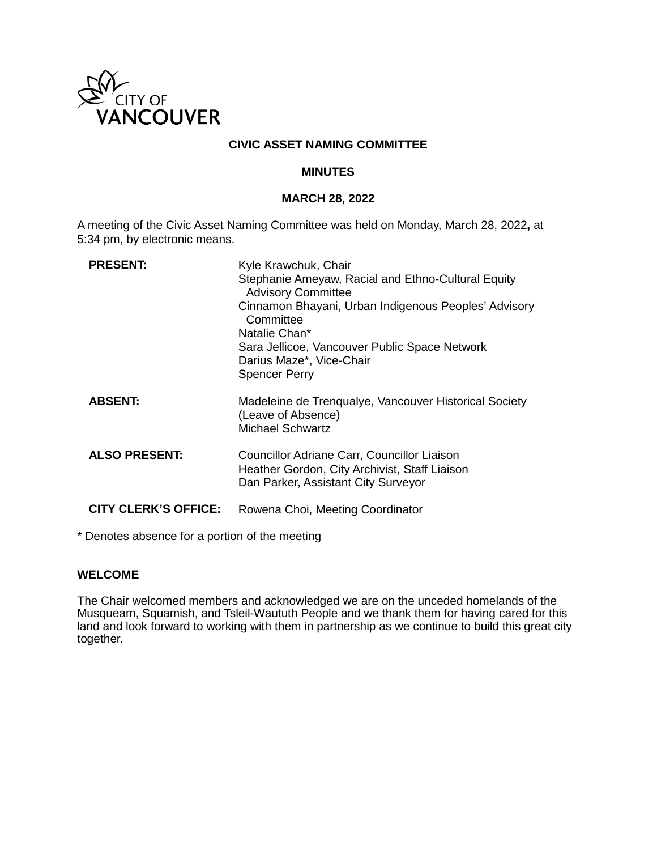

### **CIVIC ASSET NAMING COMMITTEE**

### **MINUTES**

#### **MARCH 28, 2022**

A meeting of the Civic Asset Naming Committee was held on Monday, March 28, 2022**,** at 5:34 pm, by electronic means.

| <b>PRESENT:</b>             | Kyle Krawchuk, Chair<br>Stephanie Ameyaw, Racial and Ethno-Cultural Equity<br><b>Advisory Committee</b>                             |
|-----------------------------|-------------------------------------------------------------------------------------------------------------------------------------|
|                             | Cinnamon Bhayani, Urban Indigenous Peoples' Advisory<br>Committee                                                                   |
|                             | Natalie Chan*                                                                                                                       |
|                             | Sara Jellicoe, Vancouver Public Space Network                                                                                       |
|                             | Darius Maze*, Vice-Chair                                                                                                            |
|                             | <b>Spencer Perry</b>                                                                                                                |
| <b>ABSENT:</b>              | Madeleine de Trenqualye, Vancouver Historical Society<br>(Leave of Absence)<br><b>Michael Schwartz</b>                              |
| <b>ALSO PRESENT:</b>        | Councillor Adriane Carr, Councillor Liaison<br>Heather Gordon, City Archivist, Staff Liaison<br>Dan Parker, Assistant City Surveyor |
| <b>CITY CLERK'S OFFICE:</b> | Rowena Choi, Meeting Coordinator                                                                                                    |

\* Denotes absence for a portion of the meeting

### **WELCOME**

The Chair welcomed members and acknowledged we are on the unceded homelands of the Musqueam, Squamish, and Tsleil-Waututh People and we thank them for having cared for this land and look forward to working with them in partnership as we continue to build this great city together.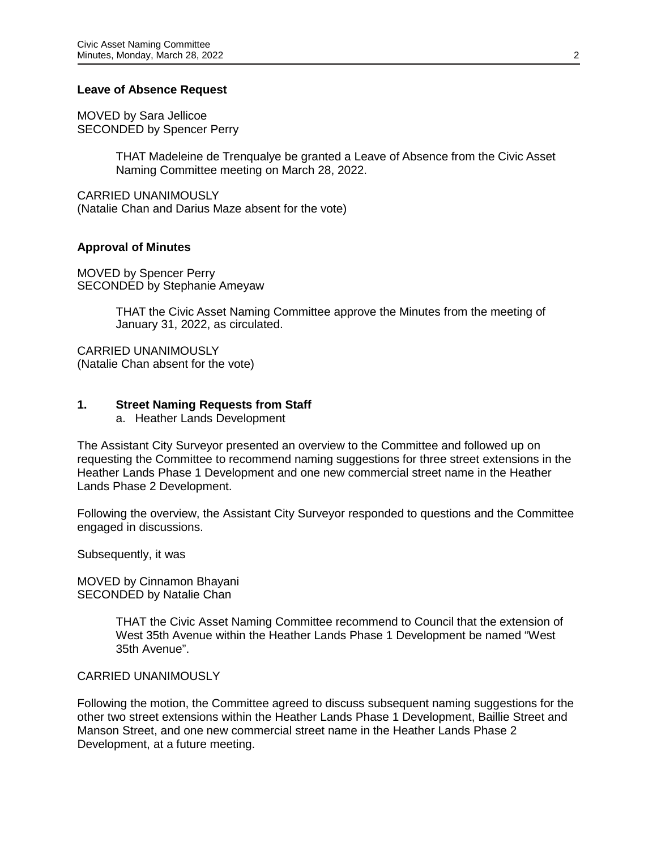### **Leave of Absence Request**

MOVED by Sara Jellicoe SECONDED by Spencer Perry

> THAT Madeleine de Trenqualye be granted a Leave of Absence from the Civic Asset Naming Committee meeting on March 28, 2022.

CARRIED UNANIMOUSLY (Natalie Chan and Darius Maze absent for the vote)

#### **Approval of Minutes**

MOVED by Spencer Perry SECONDED by Stephanie Ameyaw

> THAT the Civic Asset Naming Committee approve the Minutes from the meeting of January 31, 2022, as circulated.

CARRIED UNANIMOUSLY (Natalie Chan absent for the vote)

### **1. Street Naming Requests from Staff**

a. Heather Lands Development

The Assistant City Surveyor presented an overview to the Committee and followed up on requesting the Committee to recommend naming suggestions for three street extensions in the Heather Lands Phase 1 Development and one new commercial street name in the Heather Lands Phase 2 Development.

Following the overview, the Assistant City Surveyor responded to questions and the Committee engaged in discussions.

Subsequently, it was

MOVED by Cinnamon Bhayani SECONDED by Natalie Chan

> THAT the Civic Asset Naming Committee recommend to Council that the extension of West 35th Avenue within the Heather Lands Phase 1 Development be named "West 35th Avenue".

#### CARRIED UNANIMOUSLY

Following the motion, the Committee agreed to discuss subsequent naming suggestions for the other two street extensions within the Heather Lands Phase 1 Development, Baillie Street and Manson Street, and one new commercial street name in the Heather Lands Phase 2 Development, at a future meeting.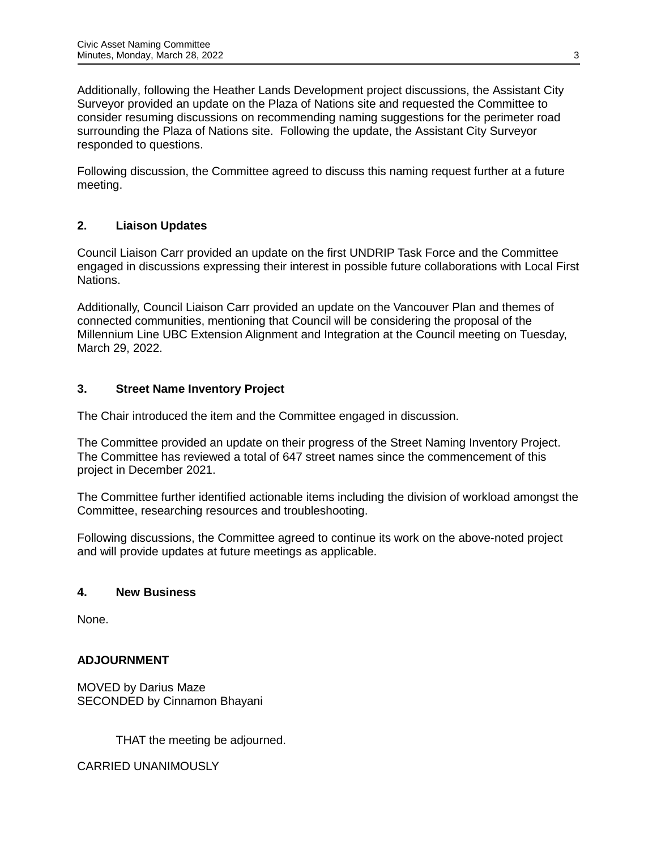Additionally, following the Heather Lands Development project discussions, the Assistant City Surveyor provided an update on the Plaza of Nations site and requested the Committee to consider resuming discussions on recommending naming suggestions for the perimeter road surrounding the Plaza of Nations site. Following the update, the Assistant City Surveyor responded to questions.

Following discussion, the Committee agreed to discuss this naming request further at a future meeting.

# **2. Liaison Updates**

Council Liaison Carr provided an update on the first UNDRIP Task Force and the Committee engaged in discussions expressing their interest in possible future collaborations with Local First Nations.

Additionally, Council Liaison Carr provided an update on the Vancouver Plan and themes of connected communities, mentioning that Council will be considering the proposal of the Millennium Line UBC Extension Alignment and Integration at the Council meeting on Tuesday, March 29, 2022.

# **3. Street Name Inventory Project**

The Chair introduced the item and the Committee engaged in discussion.

The Committee provided an update on their progress of the Street Naming Inventory Project. The Committee has reviewed a total of 647 street names since the commencement of this project in December 2021.

The Committee further identified actionable items including the division of workload amongst the Committee, researching resources and troubleshooting.

Following discussions, the Committee agreed to continue its work on the above-noted project and will provide updates at future meetings as applicable.

# **4. New Business**

None.

# **ADJOURNMENT**

MOVED by Darius Maze SECONDED by Cinnamon Bhayani

THAT the meeting be adjourned.

CARRIED UNANIMOUSLY